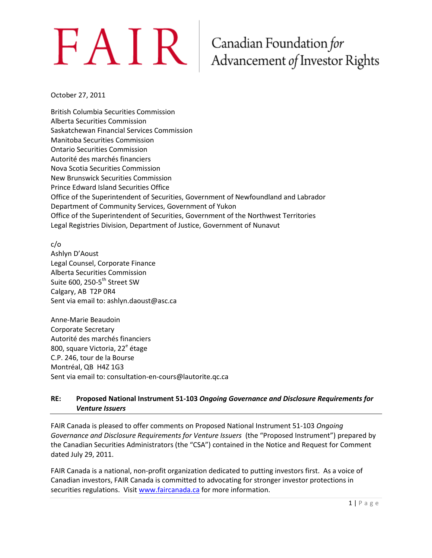### Canadian Foundation for Advancement of Investor Rights

October 27, 2011

British Columbia Securities Commission Alberta Securities Commission Saskatchewan Financial Services Commission Manitoba Securities Commission Ontario Securities Commission Autorité des marchés financiers Nova Scotia Securities Commission New Brunswick Securities Commission Prince Edward Island Securities Office Office of the Superintendent of Securities, Government of Newfoundland and Labrador Department of Community Services, Government of Yukon Office of the Superintendent of Securities, Government of the Northwest Territories Legal Registries Division, Department of Justice, Government of Nunavut

c/o

Ashlyn D'Aoust Legal Counsel, Corporate Finance Alberta Securities Commission Suite 600, 250-5<sup>th</sup> Street SW Calgary, AB T2P 0R4 Sent via email to: ashlyn.daoust@asc.ca

Anne-Marie Beaudoin Corporate Secretary Autorité des marchés financiers 800, square Victoria, 22<sup>e</sup> étage C.P. 246, tour de la Bourse Montréal, QB H4Z 1G3 Sent via email to: consultation-en-cours@lautorite.qc.ca

#### **RE: Proposed National Instrument 51-103** *Ongoing Governance and Disclosure Requirements for Venture Issuers*

FAIR Canada is pleased to offer comments on Proposed National Instrument 51-103 *Ongoing Governance and Disclosure Requirements for Venture Issuers* (the "Proposed Instrument") prepared by the Canadian Securities Administrators (the "CSA") contained in the Notice and Request for Comment dated July 29, 2011.

FAIR Canada is a national, non-profit organization dedicated to putting investors first. As a voice of Canadian investors, FAIR Canada is committed to advocating for stronger investor protections in securities regulations. Visi[t www.faircanada.ca](http://www.faircanada.ca/) for more information.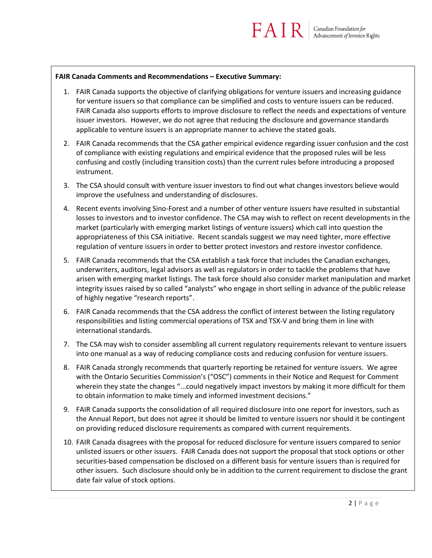#### **FAIR Canada Comments and Recommendations – Executive Summary:**

1. FAIR Canada supports the objective of clarifying obligations for venture issuers and increasing guidance for venture issuers so that compliance can be simplified and costs to venture issuers can be reduced. FAIR Canada also supports efforts to improve disclosure to reflect the needs and expectations of venture issuer investors. However, we do not agree that reducing the disclosure and governance standards applicable to venture issuers is an appropriate manner to achieve the stated goals.

 $FAIR$ 

- 2. FAIR Canada recommends that the CSA gather empirical evidence regarding issuer confusion and the cost of compliance with existing regulations and empirical evidence that the proposed rules will be less confusing and costly (including transition costs) than the current rules before introducing a proposed instrument.
- 3. The CSA should consult with venture issuer investors to find out what changes investors believe would improve the usefulness and understanding of disclosures.
- 4. Recent events involving Sino-Forest and a number of other venture issuers have resulted in substantial losses to investors and to investor confidence. The CSA may wish to reflect on recent developments in the market (particularly with emerging market listings of venture issuers) which call into question the appropriateness of this CSA initiative. Recent scandals suggest we may need tighter, more effective regulation of venture issuers in order to better protect investors and restore investor confidence.
- 5. FAIR Canada recommends that the CSA establish a task force that includes the Canadian exchanges, underwriters, auditors, legal advisors as well as regulators in order to tackle the problems that have arisen with emerging market listings. The task force should also consider market manipulation and market integrity issues raised by so called "analysts" who engage in short selling in advance of the public release of highly negative "research reports".
- 6. FAIR Canada recommends that the CSA address the conflict of interest between the listing regulatory responsibilities and listing commercial operations of TSX and TSX-V and bring them in line with international standards.
- 7. The CSA may wish to consider assembling all current regulatory requirements relevant to venture issuers into one manual as a way of reducing compliance costs and reducing confusion for venture issuers.
- 8. FAIR Canada strongly recommends that quarterly reporting be retained for venture issuers. We agree with the Ontario Securities Commission's ("OSC") comments in their Notice and Request for Comment wherein they state the changes "...could negatively impact investors by making it more difficult for them to obtain information to make timely and informed investment decisions."
- 9. FAIR Canada supports the consolidation of all required disclosure into one report for investors, such as the Annual Report, but does not agree it should be limited to venture issuers nor should it be contingent on providing reduced disclosure requirements as compared with current requirements.
- 10. FAIR Canada disagrees with the proposal for reduced disclosure for venture issuers compared to senior unlisted issuers or other issuers. FAIR Canada does not support the proposal that stock options or other securities-based compensation be disclosed on a different basis for venture issuers than is required for other issuers. Such disclosure should only be in addition to the current requirement to disclose the grant date fair value of stock options.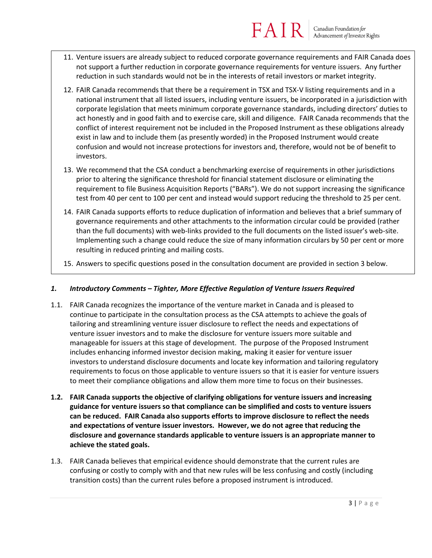#### $FAIR$ Canadian Foundation for<br>Advancement of Investor Rights

- 11. Venture issuers are already subject to reduced corporate governance requirements and FAIR Canada does not support a further reduction in corporate governance requirements for venture issuers. Any further reduction in such standards would not be in the interests of retail investors or market integrity.
- 12. FAIR Canada recommends that there be a requirement in TSX and TSX-V listing requirements and in a national instrument that all listed issuers, including venture issuers, be incorporated in a jurisdiction with corporate legislation that meets minimum corporate governance standards, including directors' duties to act honestly and in good faith and to exercise care, skill and diligence. FAIR Canada recommends that the conflict of interest requirement not be included in the Proposed Instrument as these obligations already exist in law and to include them (as presently worded) in the Proposed Instrument would create confusion and would not increase protections for investors and, therefore, would not be of benefit to investors.
- 13. We recommend that the CSA conduct a benchmarking exercise of requirements in other jurisdictions prior to altering the significance threshold for financial statement disclosure or eliminating the requirement to file Business Acquisition Reports ("BARs"). We do not support increasing the significance test from 40 per cent to 100 per cent and instead would support reducing the threshold to 25 per cent.
- 14. FAIR Canada supports efforts to reduce duplication of information and believes that a brief summary of governance requirements and other attachments to the information circular could be provided (rather than the full documents) with web-links provided to the full documents on the listed issuer's web-site. Implementing such a change could reduce the size of many information circulars by 50 per cent or more resulting in reduced printing and mailing costs.
- 15. Answers to specific questions posed in the consultation document are provided in section 3 below.

#### *1. Introductory Comments – Tighter, More Effective Regulation of Venture Issuers Required*

- 1.1. FAIR Canada recognizes the importance of the venture market in Canada and is pleased to continue to participate in the consultation process as the CSA attempts to achieve the goals of tailoring and streamlining venture issuer disclosure to reflect the needs and expectations of venture issuer investors and to make the disclosure for venture issuers more suitable and manageable for issuers at this stage of development. The purpose of the Proposed Instrument includes enhancing informed investor decision making, making it easier for venture issuer investors to understand disclosure documents and locate key information and tailoring regulatory requirements to focus on those applicable to venture issuers so that it is easier for venture issuers to meet their compliance obligations and allow them more time to focus on their businesses.
- **1.2. FAIR Canada supports the objective of clarifying obligations for venture issuers and increasing guidance for venture issuers so that compliance can be simplified and costs to venture issuers can be reduced. FAIR Canada also supports efforts to improve disclosure to reflect the needs and expectations of venture issuer investors. However, we do not agree that reducing the disclosure and governance standards applicable to venture issuers is an appropriate manner to achieve the stated goals.**
- 1.3. FAIR Canada believes that empirical evidence should demonstrate that the current rules are confusing or costly to comply with and that new rules will be less confusing and costly (including transition costs) than the current rules before a proposed instrument is introduced.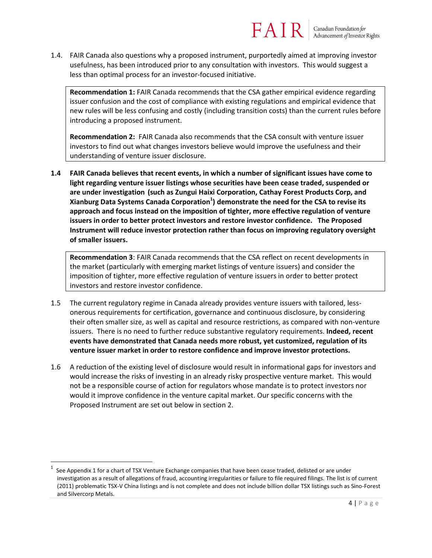1.4. FAIR Canada also questions why a proposed instrument, purportedly aimed at improving investor usefulness, has been introduced prior to any consultation with investors. This would suggest a less than optimal process for an investor-focused initiative.

**Recommendation 1:** FAIR Canada recommends that the CSA gather empirical evidence regarding issuer confusion and the cost of compliance with existing regulations and empirical evidence that new rules will be less confusing and costly (including transition costs) than the current rules before introducing a proposed instrument.

**Recommendation 2:** FAIR Canada also recommends that the CSA consult with venture issuer investors to find out what changes investors believe would improve the usefulness and their understanding of venture issuer disclosure.

**1.4 FAIR Canada believes that recent events, in which a number of significant issues have come to light regarding venture issuer listings whose securities have been cease traded, suspended or are under investigation (such as Zungui Haixi Corporation, Cathay Forest Products Corp, and Xianburg Data Systems Canada Corporation<sup>1</sup> ) demonstrate the need for the CSA to revise its approach and focus instead on the imposition of tighter, more effective regulation of venture issuers in order to better protect investors and restore investor confidence. The Proposed Instrument will reduce investor protection rather than focus on improving regulatory oversight of smaller issuers.**

**Recommendation 3**: FAIR Canada recommends that the CSA reflect on recent developments in the market (particularly with emerging market listings of venture issuers) and consider the imposition of tighter, more effective regulation of venture issuers in order to better protect investors and restore investor confidence.

- 1.5 The current regulatory regime in Canada already provides venture issuers with tailored, lessonerous requirements for certification, governance and continuous disclosure, by considering their often smaller size, as well as capital and resource restrictions, as compared with non-venture issuers. There is no need to further reduce substantive regulatory requirements. **Indeed, recent events have demonstrated that Canada needs more robust, yet customized, regulation of its venture issuer market in order to restore confidence and improve investor protections.**
- 1.6 A reduction of the existing level of disclosure would result in informational gaps for investors and would increase the risks of investing in an already risky prospective venture market. This would not be a responsible course of action for regulators whose mandate is to protect investors nor would it improve confidence in the venture capital market. Our specific concerns with the Proposed Instrument are set out below in section 2.

 $\overline{a}$ 

<sup>1</sup> See Appendix 1 for a chart of TSX Venture Exchange companies that have been cease traded, delisted or are under investigation as a result of allegations of fraud, accounting irregularities or failure to file required filings. The list is of current (2011) problematic TSX-V China listings and is not complete and does not include billion dollar TSX listings such as Sino-Forest and Silvercorp Metals.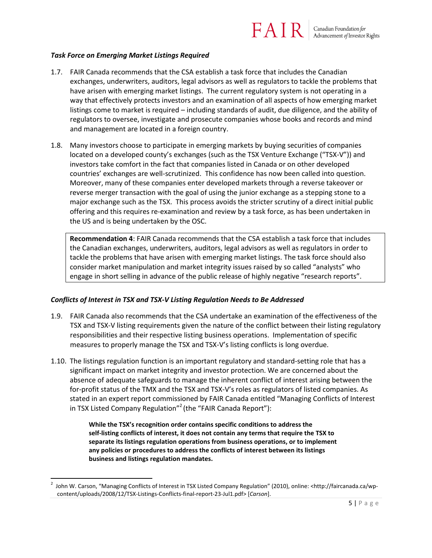#### *Task Force on Emerging Market Listings Required*

- 1.7. FAIR Canada recommends that the CSA establish a task force that includes the Canadian exchanges, underwriters, auditors, legal advisors as well as regulators to tackle the problems that have arisen with emerging market listings. The current regulatory system is not operating in a way that effectively protects investors and an examination of all aspects of how emerging market listings come to market is required – including standards of audit, due diligence, and the ability of regulators to oversee, investigate and prosecute companies whose books and records and mind and management are located in a foreign country.
- 1.8. Many investors choose to participate in emerging markets by buying securities of companies located on a developed county's exchanges (such as the TSX Venture Exchange ("TSX-V")) and investors take comfort in the fact that companies listed in Canada or on other developed countries' exchanges are well-scrutinized. This confidence has now been called into question. Moreover, many of these companies enter developed markets through a reverse takeover or reverse merger transaction with the goal of using the junior exchange as a stepping stone to a major exchange such as the TSX. This process avoids the stricter scrutiny of a direct initial public offering and this requires re-examination and review by a task force, as has been undertaken in the US and is being undertaken by the OSC.

**Recommendation 4**: FAIR Canada recommends that the CSA establish a task force that includes the Canadian exchanges, underwriters, auditors, legal advisors as well as regulators in order to tackle the problems that have arisen with emerging market listings. The task force should also consider market manipulation and market integrity issues raised by so called "analysts" who engage in short selling in advance of the public release of highly negative "research reports".

#### *Conflicts of Interest in TSX and TSX-V Listing Regulation Needs to Be Addressed*

l

- 1.9. FAIR Canada also recommends that the CSA undertake an examination of the effectiveness of the TSX and TSX-V listing requirements given the nature of the conflict between their listing regulatory responsibilities and their respective listing business operations. Implementation of specific measures to properly manage the TSX and TSX-V's listing conflicts is long overdue.
- 1.10. The listings regulation function is an important regulatory and standard-setting role that has a significant impact on market integrity and investor protection. We are concerned about the absence of adequate safeguards to manage the inherent conflict of interest arising between the for-profit status of the TMX and the TSX and TSX-V's roles as regulators of listed companies. As stated in an expert report commissioned by FAIR Canada entitled "Managing Conflicts of Interest in TSX Listed Company Regulation"<sup>2</sup> (the "FAIR Canada Report"):

**While the TSX's recognition order contains specific conditions to address the self‐listing conflicts of interest, it does not contain any terms that require the TSX to separate its listings regulation operations from business operations, or to implement any policies or procedures to address the conflicts of interest between its listings business and listings regulation mandates.** 

<sup>&</sup>lt;sup>2</sup> John W. Carson, "Managing Conflicts of Interest in TSX Listed Company Regulation" (2010), online: <http://faircanada.ca/wpcontent/uploads/2008/12/TSX-Listings-Conflicts-final-report-23-Jul1.pdf> [*Carson*].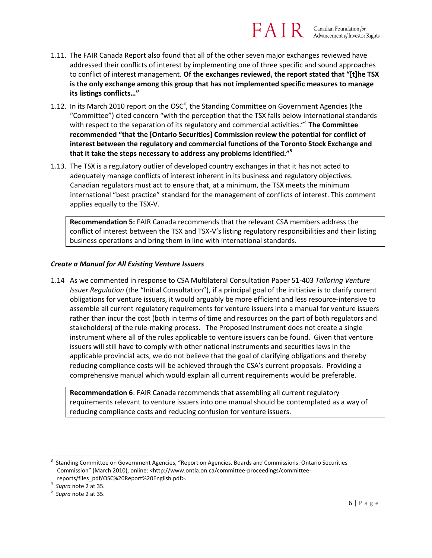- 1.11. The FAIR Canada Report also found that all of the other seven major exchanges reviewed have addressed their conflicts of interest by implementing one of three specific and sound approaches to conflict of interest management. **Of the exchanges reviewed, the report stated that "[t]he TSX is the only exchange among this group that has not implemented specific measures to manage its listings conflicts…"**
- 1.12. In its March 2010 report on the OSC<sup>3</sup>, the Standing Committee on Government Agencies (the "Committee") cited concern "with the perception that the TSX falls below international standards with respect to the separation of its regulatory and commercial activities."<sup>4</sup> **The Committee recommended "that the [Ontario Securities] Commission review the potential for conflict of interest between the regulatory and commercial functions of the Toronto Stock Exchange and that it take the steps necessary to address any problems identified."<sup>5</sup>**
- 1.13. The TSX is a regulatory outlier of developed country exchanges in that it has not acted to adequately manage conflicts of interest inherent in its business and regulatory objectives. Canadian regulators must act to ensure that, at a minimum, the TSX meets the minimum international "best practice" standard for the management of conflicts of interest. This comment applies equally to the TSX-V.

**Recommendation 5:** FAIR Canada recommends that the relevant CSA members address the conflict of interest between the TSX and TSX-V's listing regulatory responsibilities and their listing business operations and bring them in line with international standards.

#### *Create a Manual for All Existing Venture Issuers*

1.14 As we commented in response to CSA Multilateral Consultation Paper 51-403 *Tailoring Venture Issuer Regulation* (the "Initial Consultation"), if a principal goal of the initiative is to clarify current obligations for venture issuers, it would arguably be more efficient and less resource-intensive to assemble all current regulatory requirements for venture issuers into a manual for venture issuers rather than incur the cost (both in terms of time and resources on the part of both regulators and stakeholders) of the rule-making process. The Proposed Instrument does not create a single instrument where all of the rules applicable to venture issuers can be found. Given that venture issuers will still have to comply with other national instruments and securities laws in the applicable provincial acts, we do not believe that the goal of clarifying obligations and thereby reducing compliance costs will be achieved through the CSA's current proposals. Providing a comprehensive manual which would explain all current requirements would be preferable.

**Recommendation 6**: FAIR Canada recommends that assembling all current regulatory requirements relevant to venture issuers into one manual should be contemplated as a way of reducing compliance costs and reducing confusion for venture issuers.

 $^4$  *Supra* note 2 at 35.

l

<sup>3</sup> Standing Committee on Government Agencies, "Report on Agencies, Boards and Commissions: Ontario Securities Commission" (March 2010), online: <http://www.ontla.on.ca/committee-proceedings/committeereports/files\_pdf/OSC%20Report%20English.pdf>.

*Supra* note 2 at 35.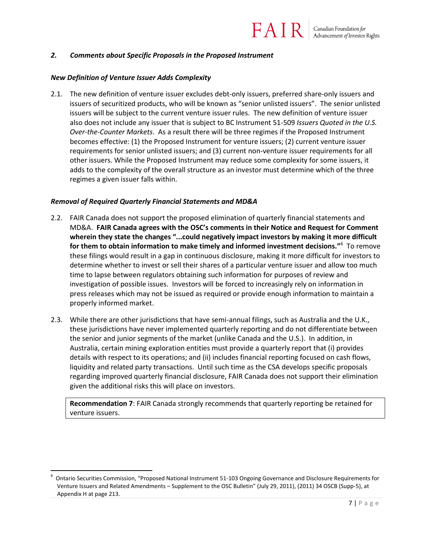#### *2. Comments about Specific Proposals in the Proposed Instrument*

#### *New Definition of Venture Issuer Adds Complexity*

2.1. The new definition of venture issuer excludes debt-only issuers, preferred share-only issuers and issuers of securitized products, who will be known as "senior unlisted issuers". The senior unlisted issuers will be subject to the current venture issuer rules. The new definition of venture issuer also does not include any issuer that is subject to BC Instrument 51-509 *Issuers Quoted in the U.S. Over-the-Counter Markets*. As a result there will be three regimes if the Proposed Instrument becomes effective: (1) the Proposed Instrument for venture issuers; (2) current venture issuer requirements for senior unlisted issuers; and (3) current non-venture issuer requirements for all other issuers. While the Proposed Instrument may reduce some complexity for some issuers, it adds to the complexity of the overall structure as an investor must determine which of the three regimes a given issuer falls within.

#### *Removal of Required Quarterly Financial Statements and MD&A*

 $\overline{\phantom{a}}$ 

- 2.2. FAIR Canada does not support the proposed elimination of quarterly financial statements and MD&A. **FAIR Canada agrees with the OSC's comments in their Notice and Request for Comment wherein they state the changes "...could negatively impact investors by making it more difficult for them to obtain information to make timely and informed investment decisions."<sup>6</sup> To remove** these filings would result in a gap in continuous disclosure, making it more difficult for investors to determine whether to invest or sell their shares of a particular venture issuer and allow too much time to lapse between regulators obtaining such information for purposes of review and investigation of possible issues. Investors will be forced to increasingly rely on information in press releases which may not be issued as required or provide enough information to maintain a properly informed market.
- 2.3. While there are other jurisdictions that have semi-annual filings, such as Australia and the U.K., these jurisdictions have never implemented quarterly reporting and do not differentiate between the senior and junior segments of the market (unlike Canada and the U.S.). In addition, in Australia, certain mining exploration entities must provide a quarterly report that (i) provides details with respect to its operations; and (ii) includes financial reporting focused on cash flows, liquidity and related party transactions. Until such time as the CSA develops specific proposals regarding improved quarterly financial disclosure, FAIR Canada does not support their elimination given the additional risks this will place on investors.

**Recommendation 7**: FAIR Canada strongly recommends that quarterly reporting be retained for venture issuers.

<sup>6</sup> Ontario Securities Commission, "Proposed National Instrument 51-103 Ongoing Governance and Disclosure Requirements for Venture Issuers and Related Amendments – Supplement to the OSC Bulletin" (July 29, 2011), (2011) 34 OSCB (Supp-5), at Appendix H at page 213.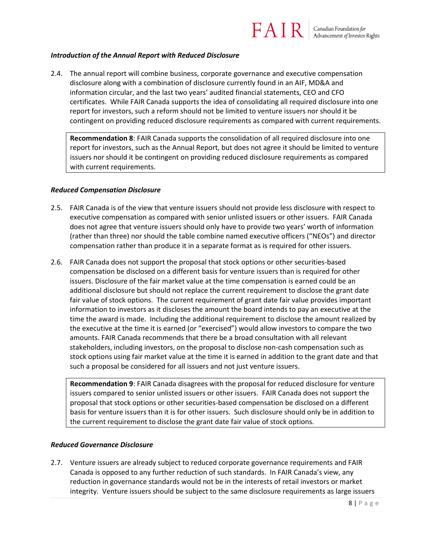## $FATR$  | Canadian Foundation for

#### *Introduction of the Annual Report with Reduced Disclosure*

2.4. The annual report will combine business, corporate governance and executive compensation disclosure along with a combination of disclosure currently found in an AIF, MD&A and information circular, and the last two years' audited financial statements, CEO and CFO certificates. While FAIR Canada supports the idea of consolidating all required disclosure into one report for investors, such a reform should not be limited to venture issuers nor should it be contingent on providing reduced disclosure requirements as compared with current requirements.

**Recommendation 8**: FAIR Canada supports the consolidation of all required disclosure into one report for investors, such as the Annual Report, but does not agree it should be limited to venture issuers nor should it be contingent on providing reduced disclosure requirements as compared with current requirements.

#### *Reduced Compensation Disclosure*

- 2.5. FAIR Canada is of the view that venture issuers should not provide less disclosure with respect to executive compensation as compared with senior unlisted issuers or other issuers. FAIR Canada does not agree that venture issuers should only have to provide two years' worth of information (rather than three) nor should the table combine named executive officers ("NEOs") and director compensation rather than produce it in a separate format as is required for other issuers.
- 2.6. FAIR Canada does not support the proposal that stock options or other securities-based compensation be disclosed on a different basis for venture issuers than is required for other issuers. Disclosure of the fair market value at the time compensation is earned could be an additional disclosure but should not replace the current requirement to disclose the grant date fair value of stock options. The current requirement of grant date fair value provides important information to investors as it discloses the amount the board intends to pay an executive at the time the award is made. Including the additional requirement to disclose the amount realized by the executive at the time it is earned (or "exercised") would allow investors to compare the two amounts. FAIR Canada recommends that there be a broad consultation with all relevant stakeholders, including investors, on the proposal to disclose non-cash compensation such as stock options using fair market value at the time it is earned in addition to the grant date and that such a proposal be considered for all issuers and not just venture issuers.

**Recommendation 9**: FAIR Canada disagrees with the proposal for reduced disclosure for venture issuers compared to senior unlisted issuers or other issuers. FAIR Canada does not support the proposal that stock options or other securities-based compensation be disclosed on a different basis for venture issuers than it is for other issuers. Such disclosure should only be in addition to the current requirement to disclose the grant date fair value of stock options.

#### *Reduced Governance Disclosure*

2.7. Venture issuers are already subject to reduced corporate governance requirements and FAIR Canada is opposed to any further reduction of such standards. In FAIR Canada's view, any reduction in governance standards would not be in the interests of retail investors or market integrity. Venture issuers should be subject to the same disclosure requirements as large issuers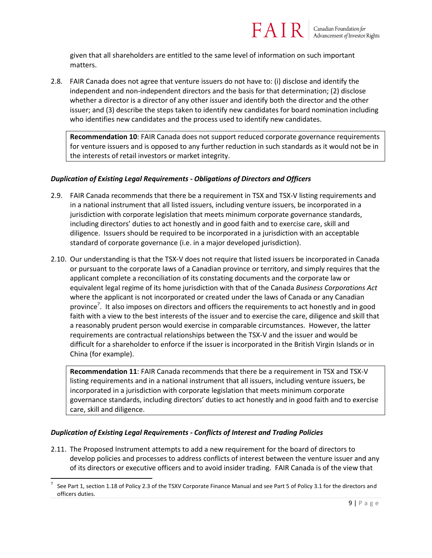

given that all shareholders are entitled to the same level of information on such important matters.

2.8. FAIR Canada does not agree that venture issuers do not have to: (i) disclose and identify the independent and non-independent directors and the basis for that determination; (2) disclose whether a director is a director of any other issuer and identify both the director and the other issuer; and (3) describe the steps taken to identify new candidates for board nomination including who identifies new candidates and the process used to identify new candidates.

**Recommendation 10**: FAIR Canada does not support reduced corporate governance requirements for venture issuers and is opposed to any further reduction in such standards as it would not be in the interests of retail investors or market integrity.

#### *Duplication of Existing Legal Requirements - Obligations of Directors and Officers*

- 2.9. FAIR Canada recommends that there be a requirement in TSX and TSX-V listing requirements and in a national instrument that all listed issuers, including venture issuers, be incorporated in a jurisdiction with corporate legislation that meets minimum corporate governance standards, including directors' duties to act honestly and in good faith and to exercise care, skill and diligence. Issuers should be required to be incorporated in a jurisdiction with an acceptable standard of corporate governance (i.e. in a major developed jurisdiction).
- 2.10. Our understanding is that the TSX-V does not require that listed issuers be incorporated in Canada or pursuant to the corporate laws of a Canadian province or territory, and simply requires that the applicant complete a reconciliation of its constating documents and the corporate law or equivalent legal regime of its home jurisdiction with that of the Canada *Business Corporations Act* where the applicant is not incorporated or created under the laws of Canada or any Canadian province<sup>7</sup>. It also imposes on directors and officers the requirements to act honestly and in good faith with a view to the best interests of the issuer and to exercise the care, diligence and skill that a reasonably prudent person would exercise in comparable circumstances. However, the latter requirements are contractual relationships between the TSX-V and the issuer and would be difficult for a shareholder to enforce if the issuer is incorporated in the British Virgin Islands or in China (for example).

**Recommendation 11**: FAIR Canada recommends that there be a requirement in TSX and TSX-V listing requirements and in a national instrument that all issuers, including venture issuers, be incorporated in a jurisdiction with corporate legislation that meets minimum corporate governance standards, including directors' duties to act honestly and in good faith and to exercise care, skill and diligence.

#### *Duplication of Existing Legal Requirements - Conflicts of Interest and Trading Policies*

l

2.11. The Proposed Instrument attempts to add a new requirement for the board of directors to develop policies and processes to address conflicts of interest between the venture issuer and any of its directors or executive officers and to avoid insider trading. FAIR Canada is of the view that

<sup>7</sup> See Part 1, section 1.18 of Policy 2.3 of the TSXV Corporate Finance Manual and see Part 5 of Policy 3.1 for the directors and officers duties.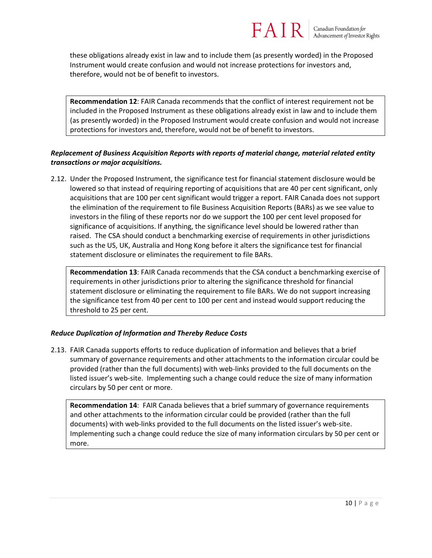these obligations already exist in law and to include them (as presently worded) in the Proposed Instrument would create confusion and would not increase protections for investors and, therefore, would not be of benefit to investors.

**Recommendation 12**: FAIR Canada recommends that the conflict of interest requirement not be included in the Proposed Instrument as these obligations already exist in law and to include them (as presently worded) in the Proposed Instrument would create confusion and would not increase protections for investors and, therefore, would not be of benefit to investors.

#### *Replacement of Business Acquisition Reports with reports of material change, material related entity transactions or major acquisitions.*

2.12. Under the Proposed Instrument, the significance test for financial statement disclosure would be lowered so that instead of requiring reporting of acquisitions that are 40 per cent significant, only acquisitions that are 100 per cent significant would trigger a report. FAIR Canada does not support the elimination of the requirement to file Business Acquisition Reports (BARs) as we see value to investors in the filing of these reports nor do we support the 100 per cent level proposed for significance of acquisitions. If anything, the significance level should be lowered rather than raised. The CSA should conduct a benchmarking exercise of requirements in other jurisdictions such as the US, UK, Australia and Hong Kong before it alters the significance test for financial statement disclosure or eliminates the requirement to file BARs.

**Recommendation 13**: FAIR Canada recommends that the CSA conduct a benchmarking exercise of requirements in other jurisdictions prior to altering the significance threshold for financial statement disclosure or eliminating the requirement to file BARs. We do not support increasing the significance test from 40 per cent to 100 per cent and instead would support reducing the threshold to 25 per cent.

#### *Reduce Duplication of Information and Thereby Reduce Costs*

2.13. FAIR Canada supports efforts to reduce duplication of information and believes that a brief summary of governance requirements and other attachments to the information circular could be provided (rather than the full documents) with web-links provided to the full documents on the listed issuer's web-site. Implementing such a change could reduce the size of many information circulars by 50 per cent or more.

**Recommendation 14**: FAIR Canada believes that a brief summary of governance requirements and other attachments to the information circular could be provided (rather than the full documents) with web-links provided to the full documents on the listed issuer's web-site. Implementing such a change could reduce the size of many information circulars by 50 per cent or more.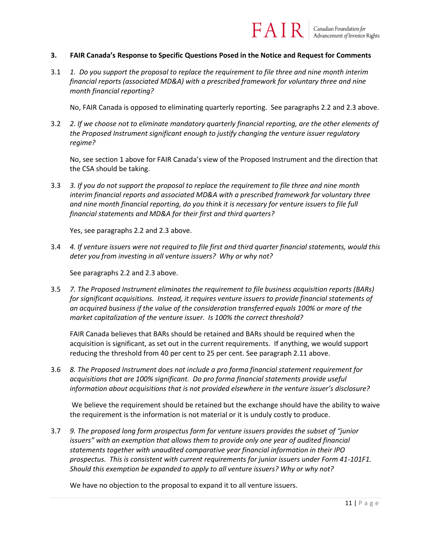#### **3. FAIR Canada's Response to Specific Questions Posed in the Notice and Request for Comments**

3.1 *1. Do you support the proposal to replace the requirement to file three and nine month interim financial reports (associated MD&A) with a prescribed framework for voluntary three and nine month financial reporting?* 

No, FAIR Canada is opposed to eliminating quarterly reporting. See paragraphs 2.2 and 2.3 above.

FAIR

3.2 *2. If we choose not to eliminate mandatory quarterly financial reporting, are the other elements of the Proposed Instrument significant enough to justify changing the venture issuer regulatory regime?*

No, see section 1 above for FAIR Canada's view of the Proposed Instrument and the direction that the CSA should be taking.

3.3 *3. If you do not support the proposal to replace the requirement to file three and nine month interim financial reports and associated MD&A with a prescribed framework for voluntary three and nine month financial reporting, do you think it is necessary for venture issuers to file full financial statements and MD&A for their first and third quarters?*

Yes, see paragraphs 2.2 and 2.3 above.

3.4 *4. If venture issuers were not required to file first and third quarter financial statements, would this deter you from investing in all venture issuers? Why or why not?*

See paragraphs 2.2 and 2.3 above.

3.5 *7. The Proposed Instrument eliminates the requirement to file business acquisition reports (BARs) for significant acquisitions. Instead, it requires venture issuers to provide financial statements of an acquired business if the value of the consideration transferred equals 100% or more of the market capitalization of the venture issuer. Is 100% the correct threshold?* 

FAIR Canada believes that BARs should be retained and BARs should be required when the acquisition is significant, as set out in the current requirements. If anything, we would support reducing the threshold from 40 per cent to 25 per cent. See paragraph 2.11 above.

3.6 *8. The Proposed Instrument does not include a pro forma financial statement requirement for acquisitions that are 100% significant. Do pro forma financial statements provide useful information about acquisitions that is not provided elsewhere in the venture issuer's disclosure?*

We believe the requirement should be retained but the exchange should have the ability to waive the requirement is the information is not material or it is unduly costly to produce.

3.7 *9. The proposed long form prospectus form for venture issuers provides the subset of "junior issuers" with an exemption that allows them to provide only one year of audited financial statements together with unaudited comparative year financial information in their IPO prospectus. This is consistent with current requirements for junior issuers under Form 41-101F1. Should this exemption be expanded to apply to all venture issuers? Why or why not?*

We have no objection to the proposal to expand it to all venture issuers.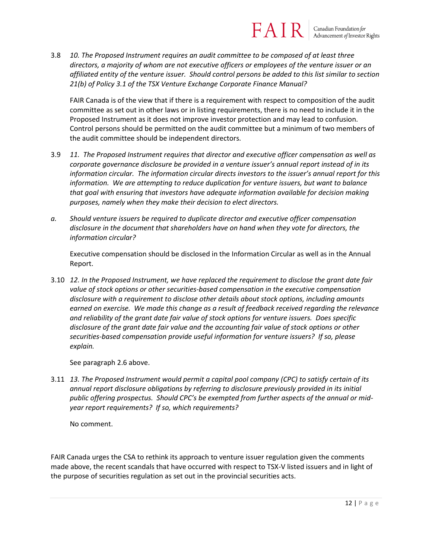#### FAIR Canadian Foundation for Advancement of Investor Rights

3.8 *10. The Proposed Instrument requires an audit committee to be composed of at least three directors, a majority of whom are not executive officers or employees of the venture issuer or an affiliated entity of the venture issuer. Should control persons be added to this list similar to section 21(b) of Policy 3.1 of the TSX Venture Exchange Corporate Finance Manual?*

FAIR Canada is of the view that if there is a requirement with respect to composition of the audit committee as set out in other laws or in listing requirements, there is no need to include it in the Proposed Instrument as it does not improve investor protection and may lead to confusion. Control persons should be permitted on the audit committee but a minimum of two members of the audit committee should be independent directors.

- 3.9 *11. The Proposed Instrument requires that director and executive officer compensation as well as corporate governance disclosure be provided in a venture issuer's annual report instead of in its information circular. The information circular directs investors to the issuer's annual report for this information. We are attempting to reduce duplication for venture issuers, but want to balance that goal with ensuring that investors have adequate information available for decision making purposes, namely when they make their decision to elect directors.*
- *a. Should venture issuers be required to duplicate director and executive officer compensation disclosure in the document that shareholders have on hand when they vote for directors, the information circular?*

Executive compensation should be disclosed in the Information Circular as well as in the Annual Report.

3.10 *12. In the Proposed Instrument, we have replaced the requirement to disclose the grant date fair value of stock options or other securities-based compensation in the executive compensation disclosure with a requirement to disclose other details about stock options, including amounts earned on exercise. We made this change as a result of feedback received regarding the relevance and reliability of the grant date fair value of stock options for venture issuers. Does specific disclosure of the grant date fair value and the accounting fair value of stock options or other securities-based compensation provide useful information for venture issuers? If so, please explain.*

See paragraph 2.6 above.

3.11 *13. The Proposed Instrument would permit a capital pool company (CPC) to satisfy certain of its annual report disclosure obligations by referring to disclosure previously provided in its initial public offering prospectus. Should CPC's be exempted from further aspects of the annual or midyear report requirements? If so, which requirements?*

No comment.

FAIR Canada urges the CSA to rethink its approach to venture issuer regulation given the comments made above, the recent scandals that have occurred with respect to TSX-V listed issuers and in light of the purpose of securities regulation as set out in the provincial securities acts.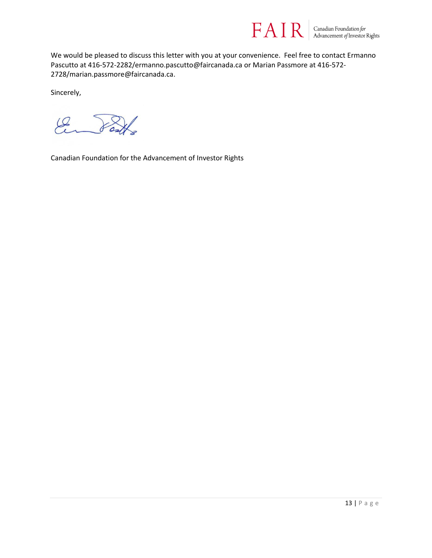

We would be pleased to discuss this letter with you at your convenience. Feel free to contact Ermanno Pascutto at 416-572-2282/ermanno.pascutto@faircanada.ca or Marian Passmore at 416-572- 2728/marian.passmore@faircanada.ca.

Sincerely,

 $\mathscr{L}$ 

Canadian Foundation for the Advancement of Investor Rights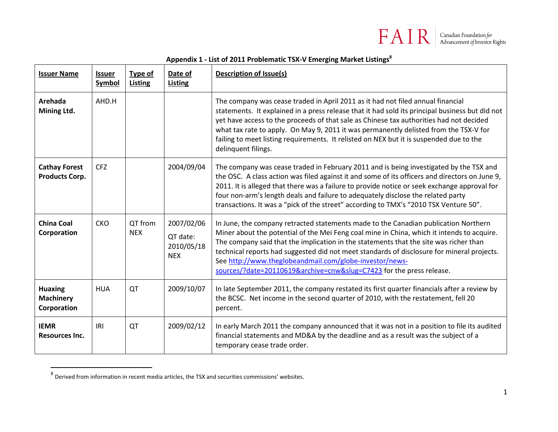

#### **Appendix 1 - List of 2011 Problematic TSX-V Emerging Market Listings<sup>8</sup>**

| <b>Issuer Name</b>                                | <b>Issuer</b><br><b>Symbol</b> | <b>Type of</b><br><b>Listing</b> | Date of<br><b>Listing</b>                          | <b>Description of Issue(s)</b>                                                                                                                                                                                                                                                                                                                                                                                                                                                                              |
|---------------------------------------------------|--------------------------------|----------------------------------|----------------------------------------------------|-------------------------------------------------------------------------------------------------------------------------------------------------------------------------------------------------------------------------------------------------------------------------------------------------------------------------------------------------------------------------------------------------------------------------------------------------------------------------------------------------------------|
| Arehada<br>Mining Ltd.                            | AHD.H                          |                                  |                                                    | The company was cease traded in April 2011 as it had not filed annual financial<br>statements. It explained in a press release that it had sold its principal business but did not<br>yet have access to the proceeds of that sale as Chinese tax authorities had not decided<br>what tax rate to apply. On May 9, 2011 it was permanently delisted from the TSX-V for<br>failing to meet listing requirements. It relisted on NEX but it is suspended due to the<br>delinquent filings.                    |
| <b>Cathay Forest</b><br><b>Products Corp.</b>     | <b>CFZ</b>                     |                                  | 2004/09/04                                         | The company was cease traded in February 2011 and is being investigated by the TSX and<br>the OSC. A class action was filed against it and some of its officers and directors on June 9,<br>2011. It is alleged that there was a failure to provide notice or seek exchange approval for<br>four non-arm's length deals and failure to adequately disclose the related party<br>transactions. It was a "pick of the street" according to TMX's "2010 TSX Venture 50".                                       |
| <b>China Coal</b><br>Corporation                  | <b>CKO</b>                     | QT from<br><b>NEX</b>            | 2007/02/06<br>QT date:<br>2010/05/18<br><b>NEX</b> | In June, the company retracted statements made to the Canadian publication Northern<br>Miner about the potential of the Mei Feng coal mine in China, which it intends to acquire.<br>The company said that the implication in the statements that the site was richer than<br>technical reports had suggested did not meet standards of disclosure for mineral projects.<br>See http://www.theglobeandmail.com/globe-investor/news-<br>sources/?date=20110619&archive=cnw&slug=C7423 for the press release. |
| <b>Huaxing</b><br><b>Machinery</b><br>Corporation | <b>HUA</b>                     | QT                               | 2009/10/07                                         | In late September 2011, the company restated its first quarter financials after a review by<br>the BCSC. Net income in the second quarter of 2010, with the restatement, fell 20<br>percent.                                                                                                                                                                                                                                                                                                                |
| <b>IEMR</b><br><b>Resources Inc.</b>              | IRI                            | QT                               | 2009/02/12                                         | In early March 2011 the company announced that it was not in a position to file its audited<br>financial statements and MD&A by the deadline and as a result was the subject of a<br>temporary cease trade order.                                                                                                                                                                                                                                                                                           |

 8 Derived from information in recent media articles, the TSX and securities commissions' websites.